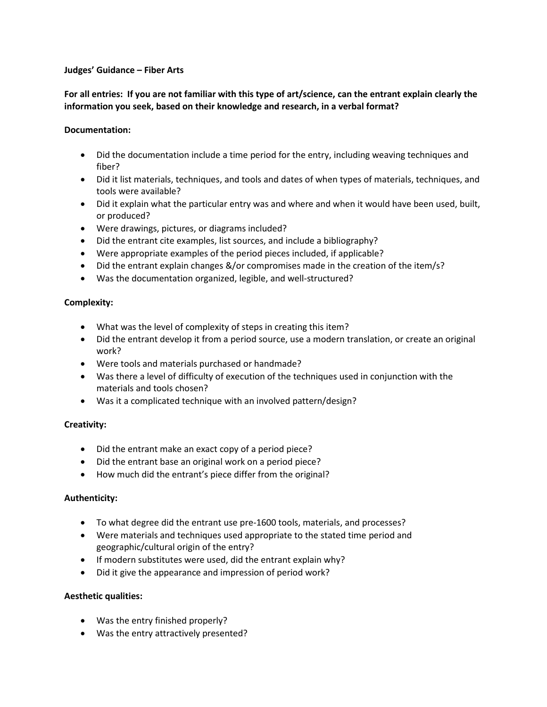#### **Judges' Guidance – Fiber Arts**

# **For all entries: If you are not familiar with this type of art/science, can the entrant explain clearly the information you seek, based on their knowledge and research, in a verbal format?**

### **Documentation:**

- Did the documentation include a time period for the entry, including weaving techniques and fiber?
- Did it list materials, techniques, and tools and dates of when types of materials, techniques, and tools were available?
- Did it explain what the particular entry was and where and when it would have been used, built, or produced?
- Were drawings, pictures, or diagrams included?
- Did the entrant cite examples, list sources, and include a bibliography?
- Were appropriate examples of the period pieces included, if applicable?
- Did the entrant explain changes &/or compromises made in the creation of the item/s?
- Was the documentation organized, legible, and well-structured?

## **Complexity:**

- What was the level of complexity of steps in creating this item?
- Did the entrant develop it from a period source, use a modern translation, or create an original work?
- Were tools and materials purchased or handmade?
- Was there a level of difficulty of execution of the techniques used in conjunction with the materials and tools chosen?
- Was it a complicated technique with an involved pattern/design?

### **Creativity:**

- Did the entrant make an exact copy of a period piece?
- Did the entrant base an original work on a period piece?
- How much did the entrant's piece differ from the original?

### **Authenticity:**

- To what degree did the entrant use pre-1600 tools, materials, and processes?
- Were materials and techniques used appropriate to the stated time period and geographic/cultural origin of the entry?
- If modern substitutes were used, did the entrant explain why?
- Did it give the appearance and impression of period work?

### **Aesthetic qualities:**

- Was the entry finished properly?
- Was the entry attractively presented?